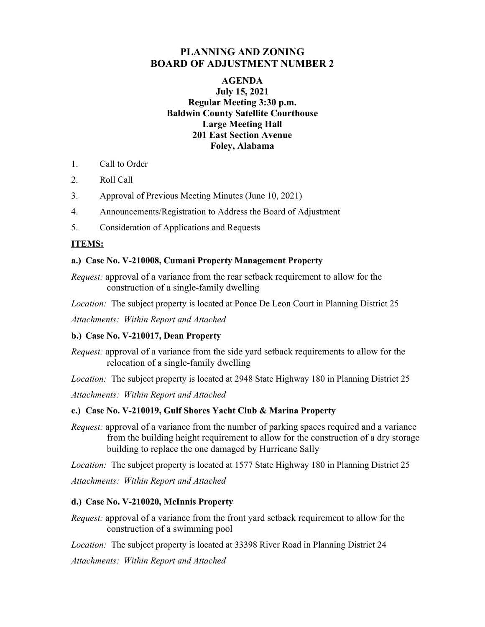# **PLANNING AND ZONING BOARD OF ADJUSTMENT NUMBER 2**

## **AGENDA July 15, 2021 Regular Meeting 3:30 p.m. Baldwin County Satellite Courthouse Large Meeting Hall 201 East Section Avenue Foley, Alabama**

- 1. Call to Order
- 2. Roll Call
- 3. Approval of Previous Meeting Minutes (June 10, 2021)
- 4. Announcements/Registration to Address the Board of Adjustment
- 5. Consideration of Applications and Requests

## **ITEMS:**

### **a.) Case No. V-210008, Cumani Property Management Property**

*Request:* approval of a variance from the rear setback requirement to allow for the construction of a single-family dwelling

*Location:* The subject property is located at Ponce De Leon Court in Planning District 25

*Attachments: Within Report and Attached* 

### **b.) Case No. V-210017, Dean Property**

*Request:* approval of a variance from the side yard setback requirements to allow for the relocation of a single-family dwelling

*Location:* The subject property is located at 2948 State Highway 180 in Planning District 25

*Attachments: Within Report and Attached* 

### **c.) Case No. V-210019, Gulf Shores Yacht Club & Marina Property**

*Request:* approval of a variance from the number of parking spaces required and a variance from the building height requirement to allow for the construction of a dry storage building to replace the one damaged by Hurricane Sally

*Location:* The subject property is located at 1577 State Highway 180 in Planning District 25

*Attachments: Within Report and Attached*

### **d.) Case No. V-210020, McInnis Property**

*Request:* approval of a variance from the front yard setback requirement to allow for the construction of a swimming pool

*Location:* The subject property is located at 33398 River Road in Planning District 24

*Attachments: Within Report and Attached*